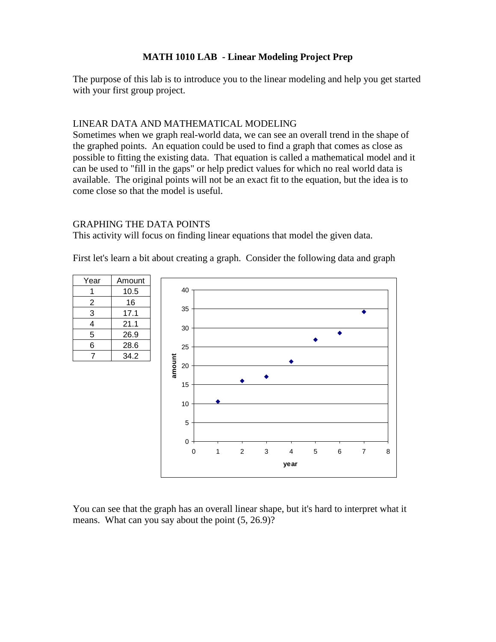### **MATH 1010 LAB - Linear Modeling Project Prep**

The purpose of this lab is to introduce you to the linear modeling and help you get started with your first group project.

#### LINEAR DATA AND MATHEMATICAL MODELING

Sometimes when we graph real-world data, we can see an overall trend in the shape of the graphed points. An equation could be used to find a graph that comes as close as possible to fitting the existing data. That equation is called a mathematical model and it can be used to "fill in the gaps" or help predict values for which no real world data is available. The original points will not be an exact fit to the equation, but the idea is to come close so that the model is useful.

### GRAPHING THE DATA POINTS

This activity will focus on finding linear equations that model the given data.

First let's learn a bit about creating a graph. Consider the following data and graph



You can see that the graph has an overall linear shape, but it's hard to interpret what it means. What can you say about the point  $(5, 26.9)$ ?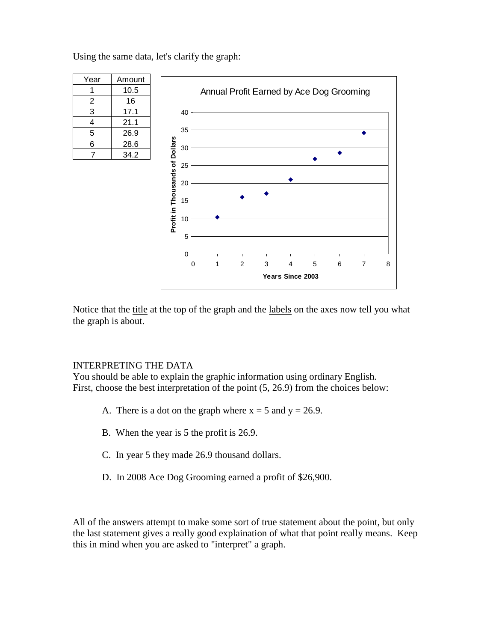Using the same data, let's clarify the graph:

| Year | Amount |
|------|--------|
|      | 10.5   |
| 2    | 16     |
| 3    | 17.1   |
| 4    | 21.1   |
| 5    | 26.9   |
| 6    | 28.6   |
| 7    | 34.2   |



Notice that the title at the top of the graph and the labels on the axes now tell you what the graph is about.

### INTERPRETING THE DATA

You should be able to explain the graphic information using ordinary English. First, choose the best interpretation of the point (5, 26.9) from the choices below:

- A. There is a dot on the graph where  $x = 5$  and  $y = 26.9$ .
- B. When the year is 5 the profit is 26.9.
- C. In year 5 they made 26.9 thousand dollars.
- D. In 2008 Ace Dog Grooming earned a profit of \$26,900.

All of the answers attempt to make some sort of true statement about the point, but only the last statement gives a really good explaination of what that point really means. Keep this in mind when you are asked to "interpret" a graph.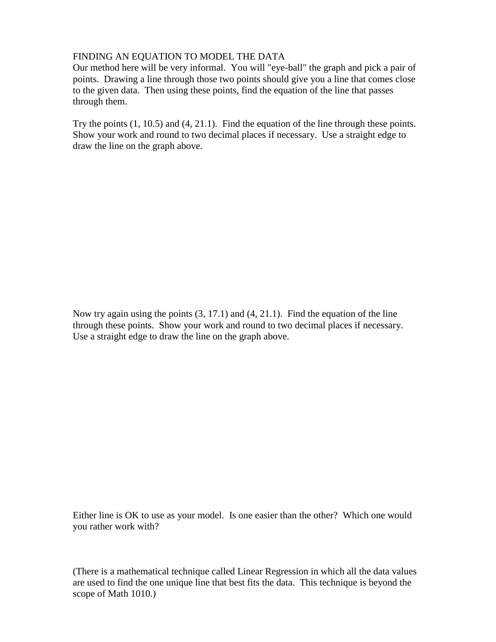## FINDING AN EQUATION TO MODEL THE DATA

Our method here will be very informal. You will "eye-ball" the graph and pick a pair of points. Drawing a line through those two points should give you a line that comes close to the given data. Then using these points, find the equation of the line that passes through them.

Try the points (1, 10.5) and (4, 21.1). Find the equation of the line through these points. Show your work and round to two decimal places if necessary. Use a straight edge to draw the line on the graph above.

Now try again using the points (3, 17.1) and (4, 21.1). Find the equation of the line through these points. Show your work and round to two decimal places if necessary. Use a straight edge to draw the line on the graph above.

Either line is OK to use as your model. Is one easier than the other? Which one would you rather work with?

(There is a mathematical technique called Linear Regression in which all the data values are used to find the one unique line that best fits the data. This technique is beyond the scope of Math 1010.)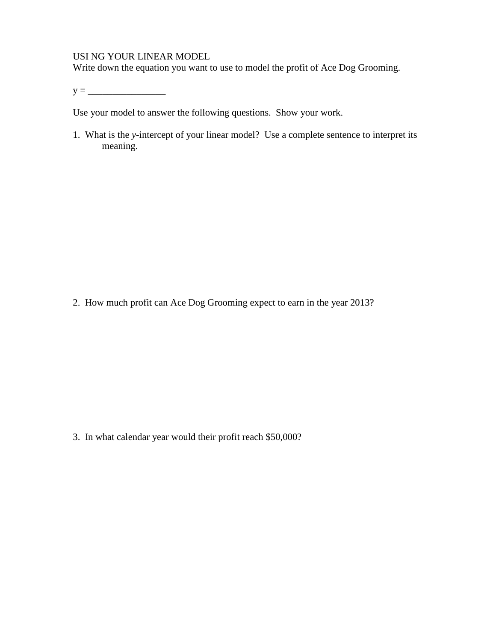#### USI NG YOUR LINEAR MODEL

Write down the equation you want to use to model the profit of Ace Dog Grooming.

y = \_\_\_\_\_\_\_\_\_\_\_\_\_\_\_\_

Use your model to answer the following questions. Show your work.

1. What is the *y*-intercept of your linear model? Use a complete sentence to interpret its meaning.

2. How much profit can Ace Dog Grooming expect to earn in the year 2013?

3. In what calendar year would their profit reach \$50,000?